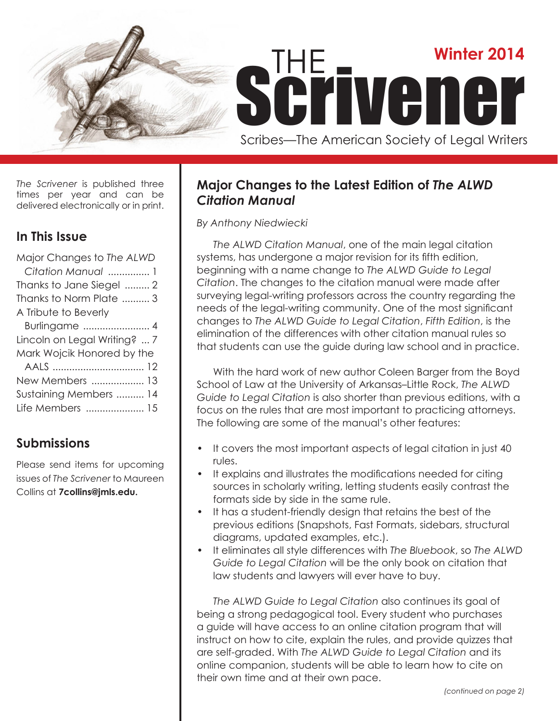

*The Scrivener* is published three times per year and can be delivered electronically or in print.

# **In This Issue**

| Major Changes to The ALWD    |
|------------------------------|
| Citation Manual  1           |
| Thanks to Jane Siegel  2     |
| Thanks to Norm Plate  3      |
| A Tribute to Beverly         |
| Burlingame  4                |
|                              |
| Lincoln on Legal Writing?  7 |
| Mark Wojcik Honored by the   |
|                              |
| New Members  13              |
| Sustaining Members  14       |
| Life Members  15             |

# **Submissions**

Please send items for upcoming issues of *The Scrivener* to Maureen Collins at **7collins@jmls.edu.**

# **Major Changes to the Latest Edition of** *The ALWD Citation Manual*

### *By Anthony Niedwiecki*

*The ALWD Citation Manual*, one of the main legal citation systems, has undergone a major revision for its fifth edition, beginning with a name change to *The ALWD Guide to Legal Citation*. The changes to the citation manual were made after surveying legal-writing professors across the country regarding the needs of the legal-writing community. One of the most significant changes to *The ALWD Guide to Legal Citation*, *Fifth Edition*, is the elimination of the differences with other citation manual rules so that students can use the guide during law school and in practice.

With the hard work of new author Coleen Barger from the Boyd School of Law at the University of Arkansas–Little Rock, *The ALWD Guide to Legal Citation* is also shorter than previous editions, with a focus on the rules that are most important to practicing attorneys. The following are some of the manual's other features:

- It covers the most important aspects of legal citation in just 40 rules.
- It explains and illustrates the modifications needed for citing sources in scholarly writing, letting students easily contrast the formats side by side in the same rule.
- It has a student-friendly design that retains the best of the previous editions (Snapshots, Fast Formats, sidebars, structural diagrams, updated examples, etc.).
- It eliminates all style differences with *The Bluebook*, so *The ALWD Guide to Legal Citation* will be the only book on citation that law students and lawyers will ever have to buy.

*The ALWD Guide to Legal Citation* also continues its goal of being a strong pedagogical tool. Every student who purchases a guide will have access to an online citation program that will instruct on how to cite, explain the rules, and provide quizzes that are self-graded. With *The ALWD Guide to Legal Citation* and its online companion, students will be able to learn how to cite on their own time and at their own pace.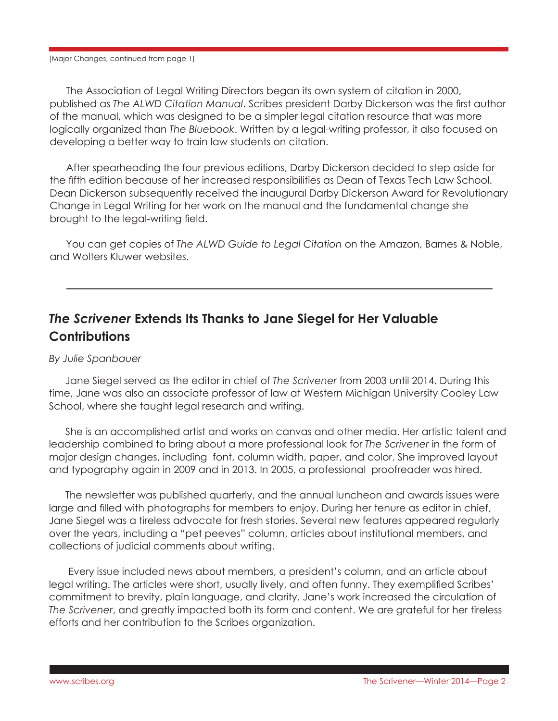(Major Changes, continued from page 1)

The Association of Legal Writing Directors began its own system of citation in 2000, published as *The ALWD Citation Manual*. Scribes president Darby Dickerson was the first author of the manual, which was designed to be a simpler legal citation resource that was more logically organized than *The Bluebook*. Written by a legal-writing professor, it also focused on developing a better way to train law students on citation.

After spearheading the four previous editions, Darby Dickerson decided to step aside for the fifth edition because of her increased responsibilities as Dean of Texas Tech Law School. Dean Dickerson subsequently received the inaugural Darby Dickerson Award for Revolutionary Change in Legal Writing for her work on the manual and the fundamental change she brought to the legal-writing field.

You can get copies of *The ALWD Guide to Legal Citation* on the Amazon, Barnes & Noble, and Wolters Kluwer websites.

# *The Scrivener* **Extends Its Thanks to Jane Siegel for Her Valuable Contributions**

### *By Julie Spanbauer*

Jane Siegel served as the editor in chief of *The Scrivener* from 2003 until 2014. During this time, Jane was also an associate professor of law at Western Michigan University Cooley Law School, where she taught legal research and writing.

She is an accomplished artist and works on canvas and other media. Her artistic talent and leadership combined to bring about a more professional look for *The Scrivener* in the form of major design changes, including font, column width, paper, and color. She improved layout and typography again in 2009 and in 2013. In 2005, a professional proofreader was hired.

The newsletter was published quarterly, and the annual luncheon and awards issues were large and filled with photographs for members to enjoy. During her tenure as editor in chief, Jane Siegel was a tireless advocate for fresh stories. Several new features appeared regularly over the years, including a "pet peeves" column, articles about institutional members, and collections of judicial comments about writing.

Every issue included news about members, a president's column, and an article about legal writing. The articles were short, usually lively, and often funny. They exemplified Scribes' commitment to brevity, plain language, and clarity. Jane's work increased the circulation of *The Scrivener*, and greatly impacted both its form and content. We are grateful for her tireless efforts and her contribution to the Scribes organization.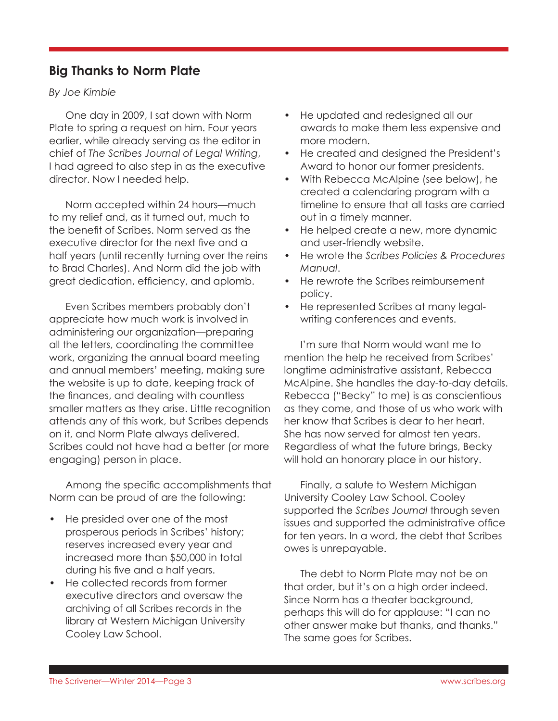# **Big Thanks to Norm Plate**

*By Joe Kimble*

One day in 2009, I sat down with Norm Plate to spring a request on him. Four years earlier, while already serving as the editor in chief of *The Scribes Journal of Legal Writing*, I had agreed to also step in as the executive director. Now I needed help.

Norm accepted within 24 hours—much to my relief and, as it turned out, much to the benefit of Scribes. Norm served as the executive director for the next five and a half years (until recently turning over the reins to Brad Charles). And Norm did the job with great dedication, efficiency, and aplomb.

Even Scribes members probably don't appreciate how much work is involved in administering our organization—preparing all the letters, coordinating the committee work, organizing the annual board meeting and annual members' meeting, making sure the website is up to date, keeping track of the finances, and dealing with countless smaller matters as they arise. Little recognition attends any of this work, but Scribes depends on it, and Norm Plate always delivered. Scribes could not have had a better (or more engaging) person in place.

Among the specific accomplishments that Norm can be proud of are the following:

- He presided over one of the most prosperous periods in Scribes' history; reserves increased every year and increased more than \$50,000 in total during his five and a half years.
- He collected records from former executive directors and oversaw the archiving of all Scribes records in the library at Western Michigan University Cooley Law School.
- He updated and redesigned all our awards to make them less expensive and more modern.
- He created and designed the President's Award to honor our former presidents.
- With Rebecca McAlpine (see below), he created a calendaring program with a timeline to ensure that all tasks are carried out in a timely manner.
- He helped create a new, more dynamic and user-friendly website.
- He wrote the *Scribes Policies & Procedures Manual*.
- He rewrote the Scribes reimbursement policy.
- He represented Scribes at many legalwriting conferences and events.

I'm sure that Norm would want me to mention the help he received from Scribes' longtime administrative assistant, Rebecca McAlpine. She handles the day-to-day details. Rebecca ("Becky" to me) is as conscientious as they come, and those of us who work with her know that Scribes is dear to her heart. She has now served for almost ten years. Regardless of what the future brings, Becky will hold an honorary place in our history.

Finally, a salute to Western Michigan University Cooley Law School. Cooley supported the *Scribes Journal* through seven issues and supported the administrative office for ten years. In a word, the debt that Scribes owes is unrepayable.

The debt to Norm Plate may not be on that order, but it's on a high order indeed. Since Norm has a theater background, perhaps this will do for applause: "I can no other answer make but thanks, and thanks." The same goes for Scribes.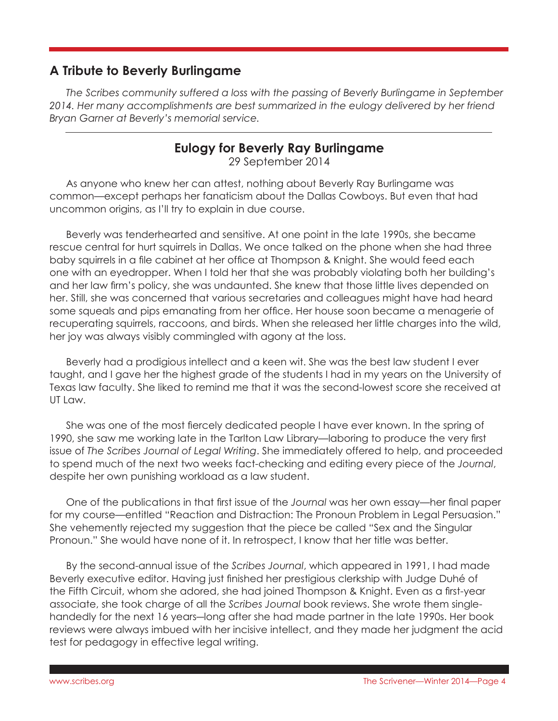# **A Tribute to Beverly Burlingame**

*The Scribes community suffered a loss with the passing of Beverly Burlingame in September*  2014. Her many accomplishments are best summarized in the eulogy delivered by her friend *Bryan Garner at Beverly's memorial service.*

# **Eulogy for Beverly Ray Burlingame**

29 September 2014

As anyone who knew her can attest, nothing about Beverly Ray Burlingame was common—except perhaps her fanaticism about the Dallas Cowboys. But even that had uncommon origins, as I'll try to explain in due course.

Beverly was tenderhearted and sensitive. At one point in the late 1990s, she became rescue central for hurt squirrels in Dallas. We once talked on the phone when she had three baby squirrels in a file cabinet at her office at Thompson & Knight. She would feed each one with an eyedropper. When I told her that she was probably violating both her building's and her law firm's policy, she was undaunted. She knew that those little lives depended on her. Still, she was concerned that various secretaries and colleagues might have had heard some squeals and pips emanating from her office. Her house soon became a menagerie of recuperating squirrels, raccoons, and birds. When she released her little charges into the wild, her joy was always visibly commingled with agony at the loss.

Beverly had a prodigious intellect and a keen wit. She was the best law student I ever taught, and I gave her the highest grade of the students I had in my years on the University of Texas law faculty. She liked to remind me that it was the second-lowest score she received at UT Law.

She was one of the most fiercely dedicated people I have ever known. In the spring of 1990, she saw me working late in the Tarlton Law Library—laboring to produce the very first issue of *The Scribes Journal of Legal Writing*. She immediately offered to help, and proceeded to spend much of the next two weeks fact-checking and editing every piece of the *Journal*, despite her own punishing workload as a law student.

One of the publications in that first issue of the *Journal* was her own essay—her final paper for my course—entitled "Reaction and Distraction: The Pronoun Problem in Legal Persuasion." She vehemently rejected my suggestion that the piece be called "Sex and the Singular Pronoun." She would have none of it. In retrospect, I know that her title was better.

By the second-annual issue of the *Scribes Journal*, which appeared in 1991, I had made Beverly executive editor. Having just finished her prestigious clerkship with Judge Duhé of the Fifth Circuit, whom she adored, she had joined Thompson & Knight. Even as a first-year associate, she took charge of all the *Scribes Journal* book reviews. She wrote them singlehandedly for the next 16 years—long after she had made partner in the late 1990s. Her book reviews were always imbued with her incisive intellect, and they made her judgment the acid test for pedagogy in effective legal writing.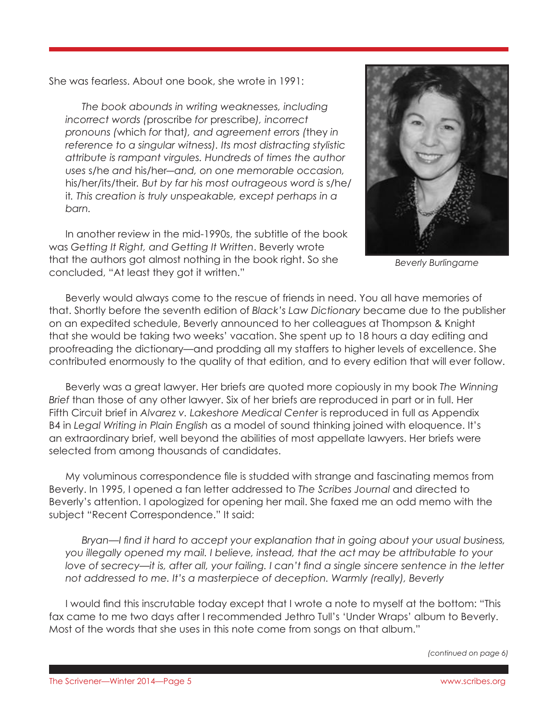She was fearless. About one book, she wrote in 1991:

*The book abounds in writing weaknesses, including incorrect words (*proscribe *for* prescribe*), incorrect pronouns (*which *for* that*), and agreement errors (*they *in reference to a singular witness). Its most distracting stylistic attribute is rampant virgules. Hundreds of times the author uses* s/he *and* his/her*―and, on one memorable occasion,*  his/her/its/their*. But by far his most outrageous word is* s/he/ it*. This creation is truly unspeakable, except perhaps in a barn.*

In another review in the mid-1990s, the subtitle of the book was *Getting It Right, and Getting It Written*. Beverly wrote that the authors got almost nothing in the book right. So she concluded, "At least they got it written."



*Beverly Burlingame*

Beverly would always come to the rescue of friends in need. You all have memories of that. Shortly before the seventh edition of *Black's Law Dictionary* became due to the publisher on an expedited schedule, Beverly announced to her colleagues at Thompson & Knight that she would be taking two weeks' vacation. She spent up to 18 hours a day editing and proofreading the dictionary—and prodding all my staffers to higher levels of excellence. She contributed enormously to the quality of that edition, and to every edition that will ever follow.

Beverly was a great lawyer. Her briefs are quoted more copiously in my book *The Winning Brief* than those of any other lawyer. Six of her briefs are reproduced in part or in full. Her Fifth Circuit brief in *Alvarez v. Lakeshore Medical Center* is reproduced in full as Appendix B4 in *Legal Writing in Plain English* as a model of sound thinking joined with eloquence. It's an extraordinary brief, well beyond the abilities of most appellate lawyers. Her briefs were selected from among thousands of candidates.

My voluminous correspondence file is studded with strange and fascinating memos from Beverly. In 1995, I opened a fan letter addressed to *The Scribes Journal* and directed to Beverly's attention. I apologized for opening her mail. She faxed me an odd memo with the subject "Recent Correspondence." It said:

*Bryan—I find it hard to accept your explanation that in going about your usual business, you illegally opened my mail. I believe, instead, that the act may be attributable to your love of secrecy—it is, after all, your failing. I can't find a single sincere sentence in the letter not addressed to me. It's a masterpiece of deception. Warmly (really), Beverly*

I would find this inscrutable today except that I wrote a note to myself at the bottom: "This fax came to me two days after I recommended Jethro Tull's 'Under Wraps' album to Beverly. Most of the words that she uses in this note come from songs on that album."

*(continued on page 6)*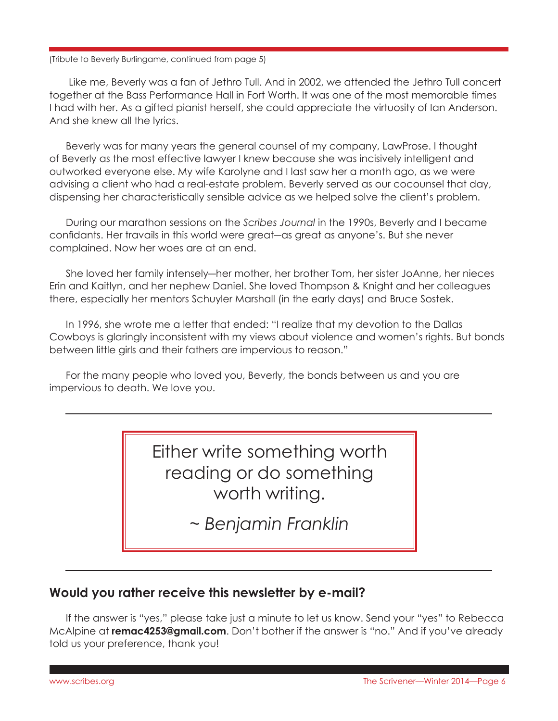#### (Tribute to Beverly Burlingame, continued from page 5)

Like me, Beverly was a fan of Jethro Tull. And in 2002, we attended the Jethro Tull concert together at the Bass Performance Hall in Fort Worth. It was one of the most memorable times I had with her. As a gifted pianist herself, she could appreciate the virtuosity of Ian Anderson. And she knew all the lyrics.

Beverly was for many years the general counsel of my company, LawProse. I thought of Beverly as the most effective lawyer I knew because she was incisively intelligent and outworked everyone else. My wife Karolyne and I last saw her a month ago, as we were advising a client who had a real-estate problem. Beverly served as our cocounsel that day, dispensing her characteristically sensible advice as we helped solve the client's problem.

During our marathon sessions on the *Scribes Journal* in the 1990s, Beverly and I became confidants. Her travails in this world were great―as great as anyone's. But she never complained. Now her woes are at an end.

She loved her family intensely―her mother, her brother Tom, her sister JoAnne, her nieces Erin and Kaitlyn, and her nephew Daniel. She loved Thompson & Knight and her colleagues there, especially her mentors Schuyler Marshall (in the early days) and Bruce Sostek.

In 1996, she wrote me a letter that ended: "I realize that my devotion to the Dallas Cowboys is glaringly inconsistent with my views about violence and women's rights. But bonds between little girls and their fathers are impervious to reason."

For the many people who loved you, Beverly, the bonds between us and you are impervious to death. We love you.

> Either write something worth reading or do something worth writing.

> > *~ Benjamin Franklin*

### **Would you rather receive this newsletter by e-mail?**

If the answer is "yes," please take just a minute to let us know. Send your "yes" to Rebecca McAlpine at **remac4253@gmail.com**. Don't bother if the answer is "no." And if you've already told us your preference, thank you!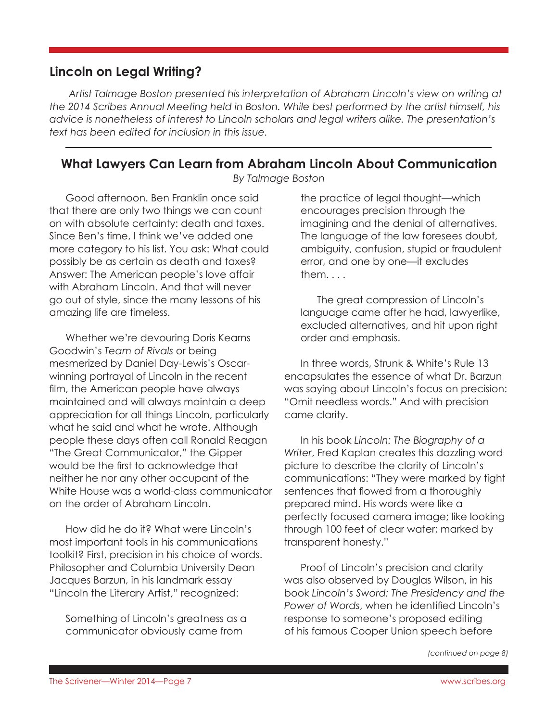## **Lincoln on Legal Writing?**

 *Artist Talmage Boston presented his interpretation of Abraham Lincoln's view on writing at the 2014 Scribes Annual Meeting held in Boston. While best performed by the artist himself, his advice is nonetheless of interest to Lincoln scholars and legal writers alike. The presentation's text has been edited for inclusion in this issue.*

# **What Lawyers Can Learn from Abraham Lincoln About Communication**

*By Talmage Boston*

Good afternoon. Ben Franklin once said that there are only two things we can count on with absolute certainty: death and taxes. Since Ben's time, I think we've added one more category to his list. You ask: What could possibly be as certain as death and taxes? Answer: The American people's love affair with Abraham Lincoln. And that will never go out of style, since the many lessons of his amazing life are timeless.

Whether we're devouring Doris Kearns Goodwin's *Team of Rivals* or being mesmerized by Daniel Day-Lewis's Oscarwinning portrayal of Lincoln in the recent film, the American people have always maintained and will always maintain a deep appreciation for all things Lincoln, particularly what he said and what he wrote. Although people these days often call Ronald Reagan "The Great Communicator," the Gipper would be the first to acknowledge that neither he nor any other occupant of the White House was a world-class communicator on the order of Abraham Lincoln.

How did he do it? What were Lincoln's most important tools in his communications toolkit? First, precision in his choice of words. Philosopher and Columbia University Dean Jacques Barzun, in his landmark essay "Lincoln the Literary Artist," recognized:

Something of Lincoln's greatness as a communicator obviously came from

the practice of legal thought—which encourages precision through the imagining and the denial of alternatives. The language of the law foresees doubt, ambiguity, confusion, stupid or fraudulent error, and one by one—it excludes them. . . .

The great compression of Lincoln's language came after he had, lawyerlike, excluded alternatives, and hit upon right order and emphasis.

In three words, Strunk & White's Rule 13 encapsulates the essence of what Dr. Barzun was saying about Lincoln's focus on precision: "Omit needless words." And with precision came clarity.

In his book *Lincoln: The Biography of a Writer*, Fred Kaplan creates this dazzling word picture to describe the clarity of Lincoln's communications: "They were marked by tight sentences that flowed from a thoroughly prepared mind. His words were like a perfectly focused camera image; like looking through 100 feet of clear water; marked by transparent honesty."

Proof of Lincoln's precision and clarity was also observed by Douglas Wilson, in his book *Lincoln's Sword: The Presidency and the Power of Words*, when he identified Lincoln's response to someone's proposed editing of his famous Cooper Union speech before

*(continued on page 8)*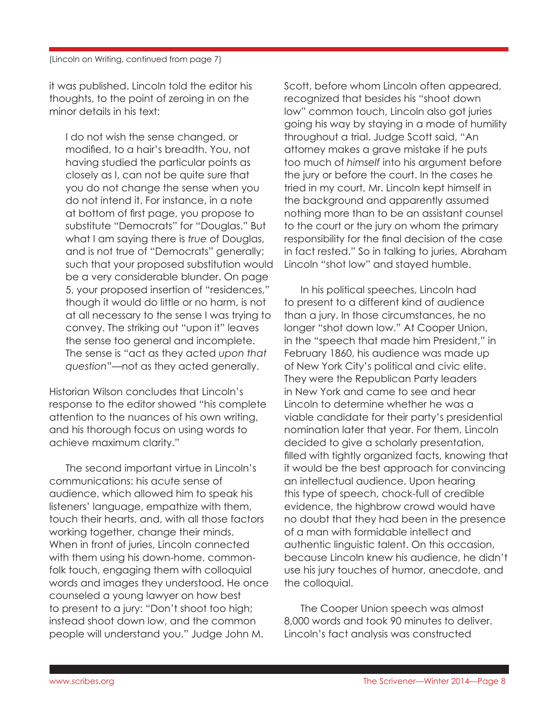#### (Lincoln on Writing, continued from page 7)

it was published. Lincoln told the editor his thoughts, to the point of zeroing in on the minor details in his text:

I do not wish the sense changed, or modified, to a hair's breadth. You, not having studied the particular points as closely as I, can not be quite sure that you do not change the sense when you do not intend it. For instance, in a note at bottom of first page, you propose to substitute "Democrats" for "Douglas." But what I am saying there is *true* of Douglas, and is not true of "Democrats" generally; such that your proposed substitution would be a very considerable blunder. On page 5, your proposed insertion of "residences," though it would do little or no harm, is not at all necessary to the sense I was trying to convey. The striking out "upon it" leaves the sense too general and incomplete. The sense is "act as they acted *upon that question*"—not as they acted generally.

Historian Wilson concludes that Lincoln's response to the editor showed "his complete attention to the nuances of his own writing, and his thorough focus on using words to achieve maximum clarity."

The second important virtue in Lincoln's communications: his acute sense of audience, which allowed him to speak his listeners' language, empathize with them, touch their hearts, and, with all those factors working together, change their minds. When in front of juries, Lincoln connected with them using his down-home, commonfolk touch, engaging them with colloquial words and images they understood. He once counseled a young lawyer on how best to present to a jury: "Don't shoot too high; instead shoot down low, and the common people will understand you." Judge John M.

Scott, before whom Lincoln often appeared, recognized that besides his "shoot down low" common touch, Lincoln also got juries going his way by staying in a mode of humility throughout a trial. Judge Scott said, "An attorney makes a grave mistake if he puts too much of *himself* into his argument before the jury or before the court. In the cases he tried in my court, Mr. Lincoln kept himself in the background and apparently assumed nothing more than to be an assistant counsel to the court or the jury on whom the primary responsibility for the final decision of the case in fact rested." So in talking to juries, Abraham Lincoln "shot low" and stayed humble.

In his political speeches, Lincoln had to present to a different kind of audience than a jury. In those circumstances, he no longer "shot down low." At Cooper Union, in the "speech that made him President," in February 1860, his audience was made up of New York City's political and civic elite. They were the Republican Party leaders in New York and came to see and hear Lincoln to determine whether he was a viable candidate for their party's presidential nomination later that year. For them, Lincoln decided to give a scholarly presentation, filled with tightly organized facts, knowing that it would be the best approach for convincing an intellectual audience. Upon hearing this type of speech, chock-full of credible evidence, the highbrow crowd would have no doubt that they had been in the presence of a man with formidable intellect and authentic linguistic talent. On this occasion, because Lincoln knew his audience, he didn't use his jury touches of humor, anecdote, and the colloquial.

The Cooper Union speech was almost 8,000 words and took 90 minutes to deliver. Lincoln's fact analysis was constructed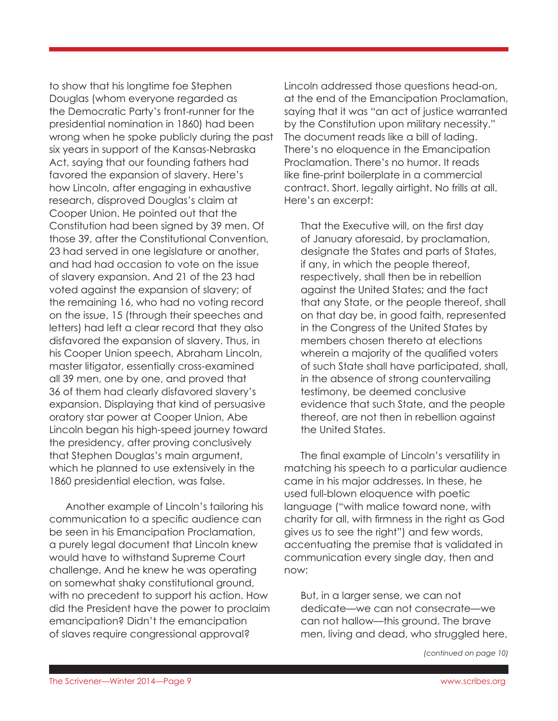to show that his longtime foe Stephen Douglas (whom everyone regarded as the Democratic Party's front-runner for the presidential nomination in 1860) had been wrong when he spoke publicly during the past six years in support of the Kansas-Nebraska Act, saying that our founding fathers had favored the expansion of slavery. Here's how Lincoln, after engaging in exhaustive research, disproved Douglas's claim at Cooper Union. He pointed out that the Constitution had been signed by 39 men. Of those 39, after the Constitutional Convention, 23 had served in one legislature or another, and had had occasion to vote on the issue of slavery expansion. And 21 of the 23 had voted against the expansion of slavery; of the remaining 16, who had no voting record on the issue, 15 (through their speeches and letters) had left a clear record that they also disfavored the expansion of slavery. Thus, in his Cooper Union speech, Abraham Lincoln, master litigator, essentially cross-examined all 39 men, one by one, and proved that 36 of them had clearly disfavored slavery's expansion. Displaying that kind of persuasive oratory star power at Cooper Union, Abe Lincoln began his high-speed journey toward the presidency, after proving conclusively that Stephen Douglas's main argument, which he planned to use extensively in the 1860 presidential election, was false.

Another example of Lincoln's tailoring his communication to a specific audience can be seen in his Emancipation Proclamation, a purely legal document that Lincoln knew would have to withstand Supreme Court challenge. And he knew he was operating on somewhat shaky constitutional ground, with no precedent to support his action. How did the President have the power to proclaim emancipation? Didn't the emancipation of slaves require congressional approval?

Lincoln addressed those questions head-on, at the end of the Emancipation Proclamation, saying that it was "an act of justice warranted by the Constitution upon military necessity." The document reads like a bill of lading. There's no eloquence in the Emancipation Proclamation. There's no humor. It reads like fine-print boilerplate in a commercial contract. Short, legally airtight. No frills at all. Here's an excerpt:

That the Executive will, on the first day of January aforesaid, by proclamation, designate the States and parts of States, if any, in which the people thereof, respectively, shall then be in rebellion against the United States; and the fact that any State, or the people thereof, shall on that day be, in good faith, represented in the Congress of the United States by members chosen thereto at elections wherein a majority of the qualified voters of such State shall have participated, shall, in the absence of strong countervailing testimony, be deemed conclusive evidence that such State, and the people thereof, are not then in rebellion against the United States.

The final example of Lincoln's versatility in matching his speech to a particular audience came in his major addresses. In these, he used full-blown eloquence with poetic language ("with malice toward none, with charity for all, with firmness in the right as God gives us to see the right") and few words, accentuating the premise that is validated in communication every single day, then and now:

But, in a larger sense, we can not dedicate—we can not consecrate—we can not hallow—this ground. The brave men, living and dead, who struggled here,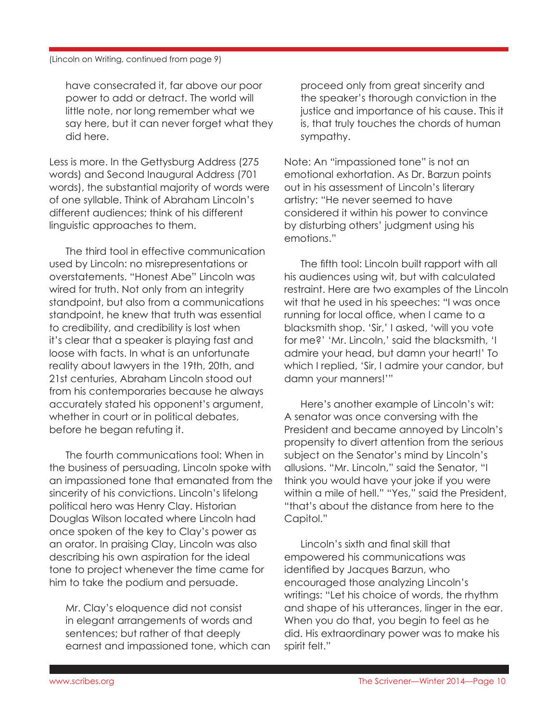have consecrated it, far above our poor power to add or detract. The world will little note, nor long remember what we say here, but it can never forget what they did here.

Less is more. In the Gettysburg Address (275 words) and Second Inaugural Address (701 words), the substantial majority of words were of one syllable. Think of Abraham Lincoln's different audiences; think of his different linguistic approaches to them.

The third tool in effective communication used by Lincoln: no misrepresentations or overstatements. "Honest Abe" Lincoln was wired for truth. Not only from an integrity standpoint, but also from a communications standpoint, he knew that truth was essential to credibility, and credibility is lost when it's clear that a speaker is playing fast and loose with facts. In what is an unfortunate reality about lawyers in the 19th, 20th, and 21st centuries, Abraham Lincoln stood out from his contemporaries because he always accurately stated his opponent's argument, whether in court or in political debates, before he began refuting it.

The fourth communications tool: When in the business of persuading, Lincoln spoke with an impassioned tone that emanated from the sincerity of his convictions. Lincoln's lifelong political hero was Henry Clay. Historian Douglas Wilson located where Lincoln had once spoken of the key to Clay's power as an orator. In praising Clay, Lincoln was also describing his own aspiration for the ideal tone to project whenever the time came for him to take the podium and persuade.

Mr. Clay's eloquence did not consist in elegant arrangements of words and sentences; but rather of that deeply earnest and impassioned tone, which can

proceed only from great sincerity and the speaker's thorough conviction in the justice and importance of his cause. This it is, that truly touches the chords of human sympathy.

Note: An "impassioned tone" is not an emotional exhortation. As Dr. Barzun points out in his assessment of Lincoln's literary artistry: "He never seemed to have considered it within his power to convince by disturbing others' judgment using his emotions."

The fifth tool: Lincoln built rapport with all his audiences using wit, but with calculated restraint. Here are two examples of the Lincoln wit that he used in his speeches: "I was once running for local office, when I came to a blacksmith shop. 'Sir,' I asked, 'will you vote for me?' 'Mr. Lincoln,' said the blacksmith, 'I admire your head, but damn your heart!' To which I replied, 'Sir, I admire your candor, but damn your manners!'"

Here's another example of Lincoln's wit: A senator was once conversing with the President and became annoyed by Lincoln's propensity to divert attention from the serious subject on the Senator's mind by Lincoln's allusions. "Mr. Lincoln," said the Senator, "I think you would have your joke if you were within a mile of hell." "Yes," said the President, "that's about the distance from here to the Capitol."

Lincoln's sixth and final skill that empowered his communications was identified by Jacques Barzun, who encouraged those analyzing Lincoln's writings: "Let his choice of words, the rhythm and shape of his utterances, linger in the ear. When you do that, you begin to feel as he did. His extraordinary power was to make his spirit felt."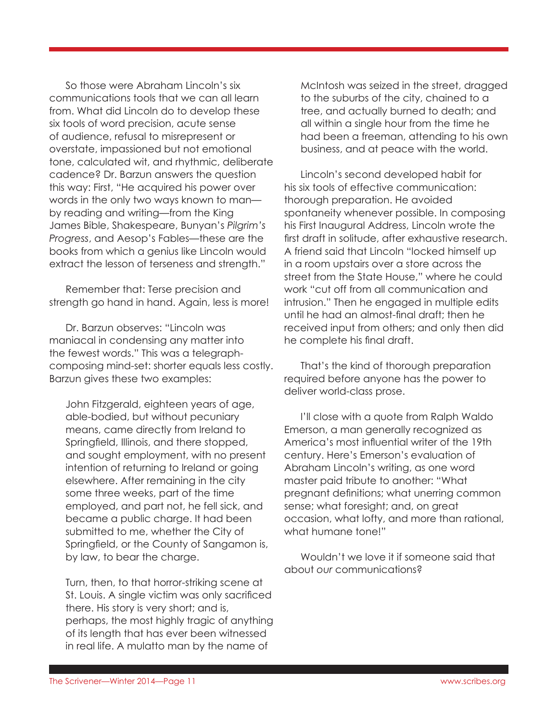So those were Abraham Lincoln's six communications tools that we can all learn from. What did Lincoln do to develop these six tools of word precision, acute sense of audience, refusal to misrepresent or overstate, impassioned but not emotional tone, calculated wit, and rhythmic, deliberate cadence? Dr. Barzun answers the question this way: First, "He acquired his power over words in the only two ways known to man by reading and writing—from the King James Bible, Shakespeare, Bunyan's *Pilgrim's Progress*, and Aesop's Fables—these are the books from which a genius like Lincoln would extract the lesson of terseness and strength."

Remember that: Terse precision and strength go hand in hand. Again, less is more!

Dr. Barzun observes: "Lincoln was maniacal in condensing any matter into the fewest words." This was a telegraphcomposing mind-set: shorter equals less costly. Barzun gives these two examples:

John Fitzgerald, eighteen years of age, able-bodied, but without pecuniary means, came directly from Ireland to Springfield, Illinois, and there stopped, and sought employment, with no present intention of returning to Ireland or going elsewhere. After remaining in the city some three weeks, part of the time employed, and part not, he fell sick, and became a public charge. It had been submitted to me, whether the City of Springfield, or the County of Sangamon is, by law, to bear the charge.

Turn, then, to that horror-striking scene at St. Louis. A single victim was only sacrificed there. His story is very short; and is, perhaps, the most highly tragic of anything of its length that has ever been witnessed in real life. A mulatto man by the name of

McIntosh was seized in the street, dragged to the suburbs of the city, chained to a tree, and actually burned to death; and all within a single hour from the time he had been a freeman, attending to his own business, and at peace with the world.

Lincoln's second developed habit for his six tools of effective communication: thorough preparation. He avoided spontaneity whenever possible. In composing his First Inaugural Address, Lincoln wrote the first draft in solitude, after exhaustive research. A friend said that Lincoln "locked himself up in a room upstairs over a store across the street from the State House," where he could work "cut off from all communication and intrusion." Then he engaged in multiple edits until he had an almost-final draft; then he received input from others; and only then did he complete his final draft.

That's the kind of thorough preparation required before anyone has the power to deliver world-class prose.

I'll close with a quote from Ralph Waldo Emerson, a man generally recognized as America's most influential writer of the 19th century. Here's Emerson's evaluation of Abraham Lincoln's writing, as one word master paid tribute to another: "What pregnant definitions; what unerring common sense; what foresight; and, on great occasion, what lofty, and more than rational, what humane tone!"

Wouldn't we love it if someone said that about *our* communications?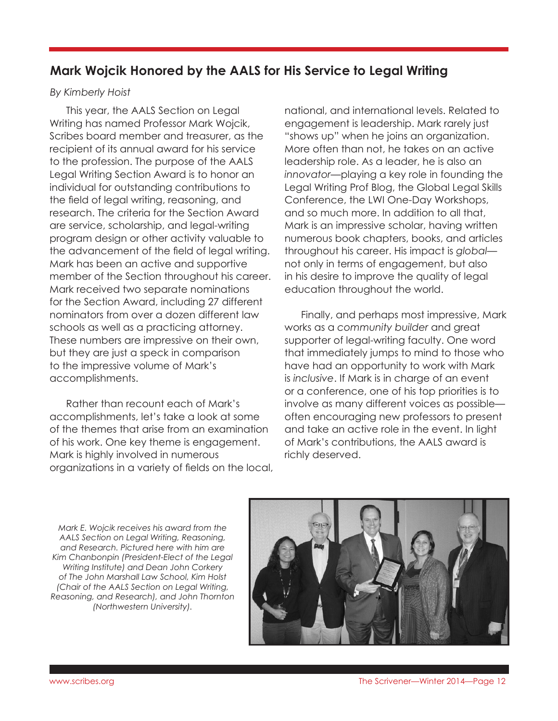# **Mark Wojcik Honored by the AALS for His Service to Legal Writing**

### *By Kimberly Hoist*

This year, the AALS Section on Legal Writing has named Professor Mark Wojcik, Scribes board member and treasurer, as the recipient of its annual award for his service to the profession. The purpose of the AALS Legal Writing Section Award is to honor an individual for outstanding contributions to the field of legal writing, reasoning, and research. The criteria for the Section Award are service, scholarship, and legal-writing program design or other activity valuable to the advancement of the field of legal writing. Mark has been an active and supportive member of the Section throughout his career. Mark received two separate nominations for the Section Award, including 27 different nominators from over a dozen different law schools as well as a practicing attorney. These numbers are impressive on their own, but they are just a speck in comparison to the impressive volume of Mark's accomplishments.

Rather than recount each of Mark's accomplishments, let's take a look at some of the themes that arise from an examination of his work. One key theme is engagement. Mark is highly involved in numerous organizations in a variety of fields on the local,

national, and international levels. Related to engagement is leadership. Mark rarely just "shows up" when he joins an organization. More often than not, he takes on an active leadership role. As a leader, he is also an *innovator*—playing a key role in founding the Legal Writing Prof Blog, the Global Legal Skills Conference, the LWI One-Day Workshops, and so much more. In addition to all that, Mark is an impressive scholar, having written numerous book chapters, books, and articles throughout his career. His impact is *global* not only in terms of engagement, but also in his desire to improve the quality of legal education throughout the world.

Finally, and perhaps most impressive, Mark works as a *community builder* and great supporter of legal-writing faculty. One word that immediately jumps to mind to those who have had an opportunity to work with Mark is *inclusive*. If Mark is in charge of an event or a conference, one of his top priorities is to involve as many different voices as possible often encouraging new professors to present and take an active role in the event. In light of Mark's contributions, the AALS award is richly deserved.

*Mark E. Wojcik receives his award from the AALS Section on Legal Writing, Reasoning, and Research. Pictured here with him are Kim Chanbonpin (President-Elect of the Legal Writing Institute) and Dean John Corkery of The John Marshall Law School, Kim Holst (Chair of the AALS Section on Legal Writing, Reasoning, and Research), and John Thornton (Northwestern University).*

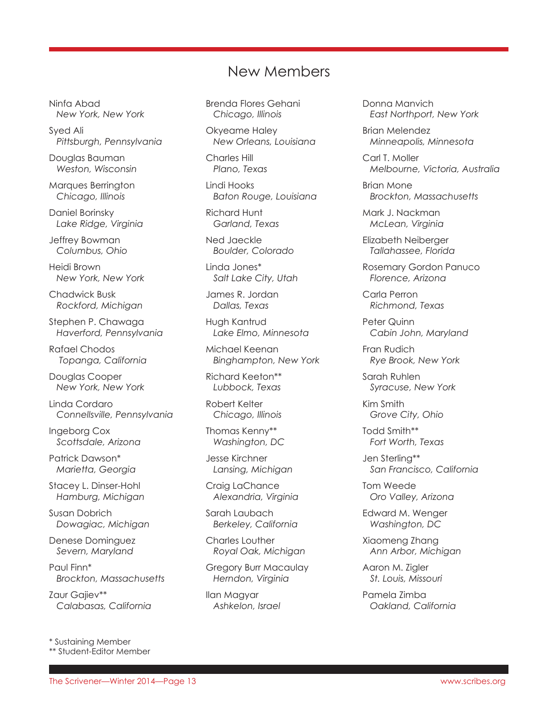# New Members

Ninfa Abad *New York, New York*

Syed Ali  *Pittsburgh, Pennsylvania*

Douglas Bauman  *Weston, Wisconsin*

Marques Berrington *Chicago, Illinois*

Daniel Borinsky  *Lake Ridge, Virginia*

Jeffrey Bowman  *Columbus, Ohio*

Heidi Brown  *New York, New York*

Chadwick Busk  *Rockford, Michigan*

Stephen P. Chawaga  *Haverford, Pennsylvania*

Rafael Chodos  *Topanga, California*

Douglas Cooper  *New York, New York*

Linda Cordaro *Connellsville, Pennsylvania*

Ingeborg Cox *Scottsdale, Arizona*

Patrick Dawson\* *Marietta, Georgia*

Stacey L. Dinser-Hohl *Hamburg, Michigan*

Susan Dobrich *Dowagiac, Michigan*

Denese Dominguez *Severn, Maryland*

Paul Finn\*  *Brockton, Massachusetts* 

Zaur Gajiev\*\*  *Calabasas, California*

\* Sustaining Member \*\* Student-Editor Member Brenda Flores Gehani  *Chicago, Illinois*

Okyeame Haley *New Orleans, Louisiana*

Charles Hill *Plano, Texas*

Lindi Hooks  *Baton Rouge, Louisiana*

Richard Hunt *Garland, Texas*

Ned Jaeckle  *Boulder, Colorado*

Linda Jones\* *Salt Lake City, Utah*

James R. Jordan  *Dallas, Texas*

Hugh Kantrud *Lake Elmo, Minnesota*

Michael Keenan  *Binghampton, New York*

Richard Keeton\*\* *Lubbock, Texas*

Robert Kelter *Chicago, Illinois*

Thomas Kenny\*\* *Washington, DC*

Jesse Kirchner  *Lansing, Michigan*

Craig LaChance  *Alexandria, Virginia*

Sarah Laubach  *Berkeley, California*

Charles Louther  *Royal Oak, Michigan*

Gregory Burr Macaulay *Herndon, Virginia*

Ilan Magyar  *Ashkelon, Israel* Donna Manvich *East Northport, New York*

Brian Melendez  *Minneapolis, Minnesota*

Carl T. Moller  *Melbourne, Victoria, Australia*

Brian Mone  *Brockton, Massachusetts*

Mark J. Nackman  *McLean, Virginia*

Elizabeth Neiberger  *Tallahassee, Florida*

Rosemary Gordon Panuco  *Florence, Arizona*

Carla Perron  *Richmond, Texas*

Peter Quinn  *Cabin John, Maryland*

Fran Rudich *Rye Brook, New York*

Sarah Ruhlen  *Syracuse, New York*

Kim Smith  *Grove City, Ohio*

Todd Smith\*\*  *Fort Worth, Texas*

Jen Sterling\*\*  *San Francisco, California*

Tom Weede  *Oro Valley, Arizona*

Edward M. Wenger *Washington, DC*

Xiaomeng Zhang  *Ann Arbor, Michigan*

Aaron M. Zigler  *St. Louis, Missouri*

Pamela Zimba *Oakland, California*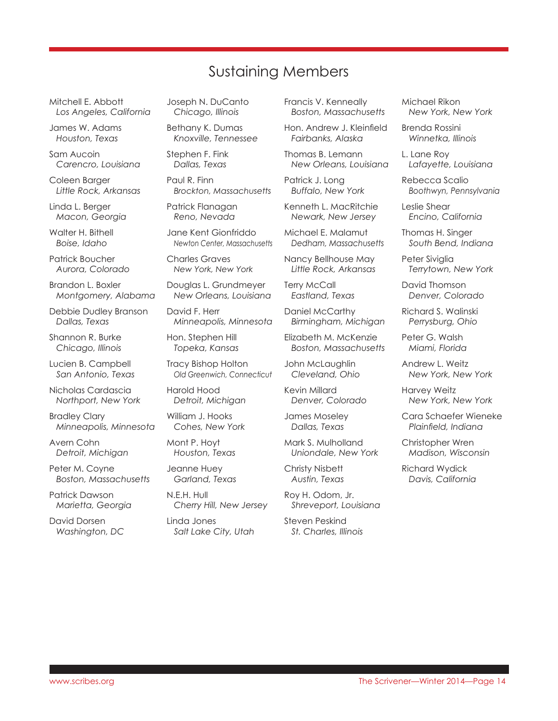# Sustaining Members

Mitchell E. Abbott *Los Angeles, California*

James W. Adams *Houston, Texas*

Sam Aucoin *Carencro, Louisiana*

Coleen Barger *Little Rock, Arkansas*

Linda L. Berger *Macon, Georgia*

Walter H. Bithell *Boise, Idaho*

Patrick Boucher *Aurora, Colorado*

Brandon L. Boxler *Montgomery, Alabama*

Debbie Dudley Branson *Dallas, Texas*

Shannon R. Burke *Chicago, Illinois* 

Lucien B. Campbell *San Antonio, Texas*

Nicholas Cardascia *Northport, New York*

Bradley Clary *Minneapolis, Minnesota*

Avern Cohn *Detroit, Michigan*

Peter M. Coyne *Boston, Massachusetts*

Patrick Dawson *Marietta, Georgia*

David Dorsen *Washington, DC* Joseph N. DuCanto *Chicago, Illinois*

Bethany K. Dumas *Knoxville, Tennessee*

Stephen F. Fink *Dallas, Texas*

Paul R. Finn *Brockton, Massachusetts*

Patrick Flanagan *Reno, Nevada*

Jane Kent Gionfriddo *Newton Center, Massachusetts*

Charles Graves *New York, New York*

Douglas L. Grundmeyer *New Orleans, Louisiana*

David F. Herr *Minneapolis, Minnesota*

Hon. Stephen Hill *Topeka, Kansas*

Tracy Bishop Holton *Old Greenwich, Connecticut*

Harold Hood *Detroit, Michigan*

William J. Hooks *Cohes, New York*

Mont P. Hoyt *Houston, Texas*

Jeanne Huey *Garland, Texas*

N.E.H. Hull *Cherry Hill, New Jersey*

Linda Jones *Salt Lake City, Utah* Francis V. Kenneally *Boston, Massachusetts*

Hon. Andrew J. Kleinfield *Fairbanks, Alaska*

Thomas B. Lemann *New Orleans, Louisiana*

Patrick J. Long *Buffalo, New York*

Kenneth L. MacRitchie *Newark, New Jersey*

Michael E. Malamut *Dedham, Massachusetts*

Nancy Bellhouse May *Little Rock, Arkansas*

**Terry McCall** *Eastland, Texas*

Daniel McCarthy *Birmingham, Michigan*

Elizabeth M. McKenzie *Boston, Massachusetts*

John McLaughlin *Cleveland, Ohio*

Kevin Millard *Denver, Colorado*

James Moseley *Dallas, Texas*

Mark S. Mulholland *Uniondale, New York*

Christy Nisbett *Austin, Texas*

Roy H. Odom, Jr. *Shreveport, Louisiana*

Steven Peskind *St. Charles, Illinois* Michael Rikon *New York, New York*

Brenda Rossini *Winnetka, Illinois*

L. Lane Roy *Lafayette, Louisiana*

Rebecca Scalio *Boothwyn, Pennsylvania*

Leslie Shear *Encino, California*

Thomas H. Singer *South Bend, Indiana*

Peter Siviglia *Terrytown, New York*

David Thomson *Denver, Colorado*

Richard S. Walinski *Perrysburg, Ohio*

Peter G. Walsh *Miami, Florida*

Andrew L. Weitz *New York, New York*

Harvey Weitz *New York, New York*

Cara Schaefer Wieneke *Plainfield, Indiana*

Christopher Wren *Madison, Wisconsin*

Richard Wydick *Davis, California*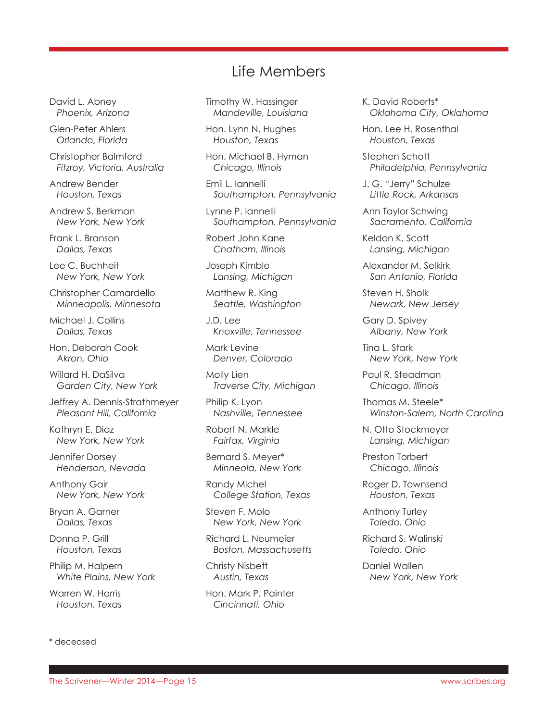# Life Members

David L. Abney  *Phoenix, Arizona*

Glen-Peter Ahlers *Orlando, Florida*

Christopher Balmford  *Fitzroy, Victoria, Australia*

Andrew Bender  *Houston, Texas*

Andrew S. Berkman  *New York, New York*

Frank L. Branson  *Dallas, Texas*

Lee C. Buchheit  *New York, New York*

Christopher Camardello  *Minneapolis, Minnesota*

Michael J. Collins  *Dallas, Texas*

Hon. Deborah Cook  *Akron, Ohio*

Willard H. DaSilva  *Garden City, New York*

Jeffrey A. Dennis-Strathmeyer  *Pleasant Hill, California*

Kathryn E. Diaz  *New York, New York*

Jennifer Dorsey  *Henderson, Nevada*

Anthony Gair  *New York, New York*

Bryan A. Garner  *Dallas, Texas*

Donna P. Grill  *Houston, Texas*

Philip M. Halpern  *White Plains, New York*

Warren W. Harris  *Houston, Texas*

\* deceased

Timothy W. Hassinger  *Mandeville, Louisiana*

Hon. Lynn N. Hughes  *Houston, Texas*

Hon. Michael B. Hyman  *Chicago, Illinois*

Emil L. Iannelli  *Southampton, Pennsylvania*

Lynne P. Iannelli  *Southampton, Pennsylvania*

Robert John Kane  *Chatham, Illinois*

Joseph Kimble  *Lansing, Michigan*

Matthew R. King  *Seattle, Washington*

J.D. Lee  *Knoxville, Tennessee*

Mark Levine  *Denver, Colorado*

Molly Lien  *Traverse City, Michigan*

Philip K. Lyon  *Nashville, Tennessee*

Robert N. Markle  *Fairfax, Virginia*

Bernard S. Meyer\*  *Minneola, New York*

Randy Michel  *College Station, Texas*

Steven F. Molo  *New York, New York*

Richard L. Neumeier  *Boston, Massachusetts*

Christy Nisbett  *Austin, Texas*

Hon. Mark P. Painter  *Cincinnati, Ohio*

K. David Roberts\*  *Oklahoma City, Oklahoma*

Hon. Lee H. Rosenthal  *Houston, Texas*

Stephen Schott  *Philadelphia, Pennsylvania*

J. G. "Jerry" Schulze  *Little Rock, Arkansas*

Ann Taylor Schwing  *Sacramento, California*

Keldon K. Scott  *Lansing, Michigan*

Alexander M. Selkirk  *San Antonio, Florida*

Steven H. Sholk  *Newark, New Jersey*

Gary D. Spivey  *Albany, New York*

Tina L. Stark  *New York, New York*

Paul R. Steadman  *Chicago, Illinois*

Thomas M. Steele\*  *Winston-Salem, North Carolina*

N. Otto Stockmeyer  *Lansing, Michigan*

Preston Torbert  *Chicago, Illinois*

Roger D. Townsend  *Houston, Texas*

Anthony Turley  *Toledo, Ohio*

Richard S. Walinski  *Toledo, Ohio*

Daniel Wallen  *New York, New York*